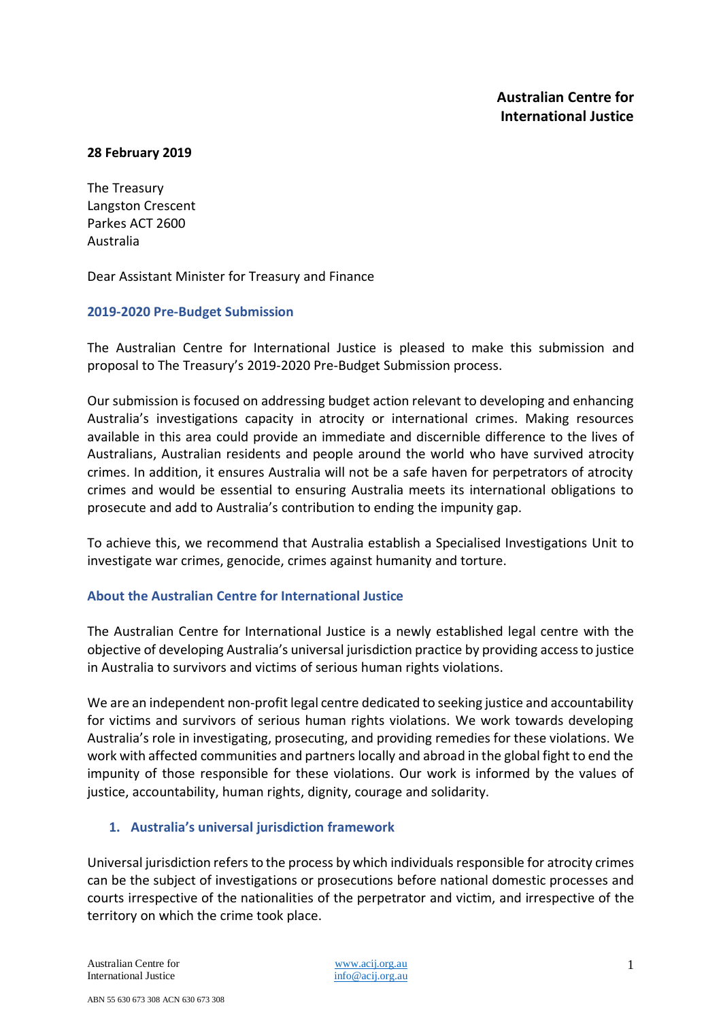#### **28 February 2019**

The Treasury Langston Crescent Parkes ACT 2600 Australia

Dear Assistant Minister for Treasury and Finance

#### **2019-2020 Pre-Budget Submission**

The Australian Centre for International Justice is pleased to make this submission and proposal to The Treasury's 2019-2020 Pre-Budget Submission process.

Our submission is focused on addressing budget action relevant to developing and enhancing Australia's investigations capacity in atrocity or international crimes. Making resources available in this area could provide an immediate and discernible difference to the lives of Australians, Australian residents and people around the world who have survived atrocity crimes. In addition, it ensures Australia will not be a safe haven for perpetrators of atrocity crimes and would be essential to ensuring Australia meets its international obligations to prosecute and add to Australia's contribution to ending the impunity gap.

To achieve this, we recommend that Australia establish a Specialised Investigations Unit to investigate war crimes, genocide, crimes against humanity and torture.

#### **About the Australian Centre for International Justice**

The Australian Centre for International Justice is a newly established legal centre with the objective of developing Australia's universal jurisdiction practice by providing access to justice in Australia to survivors and victims of serious human rights violations.

We are an independent non-profit legal centre dedicated to seeking justice and accountability for victims and survivors of serious human rights violations. We work towards developing Australia's role in investigating, prosecuting, and providing remedies for these violations. We work with affected communities and partners locally and abroad in the global fight to end the impunity of those responsible for these violations. Our work is informed by the values of justice, accountability, human rights, dignity, courage and solidarity.

#### **1. Australia's universal jurisdiction framework**

Universal jurisdiction refers to the process by which individualsresponsible for atrocity crimes can be the subject of investigations or prosecutions before national domestic processes and courts irrespective of the nationalities of the perpetrator and victim, and irrespective of the territory on which the crime took place.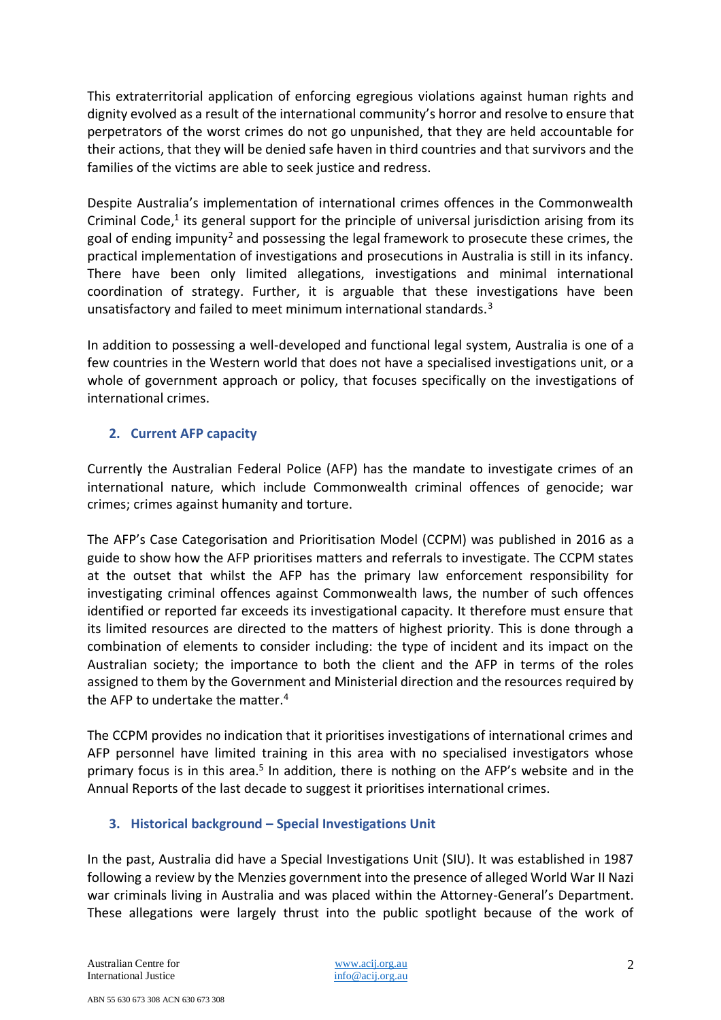This extraterritorial application of enforcing egregious violations against human rights and dignity evolved as a result of the international community's horror and resolve to ensure that perpetrators of the worst crimes do not go unpunished, that they are held accountable for their actions, that they will be denied safe haven in third countries and that survivors and the families of the victims are able to seek justice and redress.

Despite Australia's implementation of international crimes offences in the Commonwealth Criminal Code,<sup>1</sup> its general support for the principle of universal jurisdiction arising from its goal of ending impunity<sup>2</sup> and possessing the legal framework to prosecute these crimes, the practical implementation of investigations and prosecutions in Australia is still in its infancy. There have been only limited allegations, investigations and minimal international coordination of strategy. Further, it is arguable that these investigations have been unsatisfactory and failed to meet minimum international standards.<sup>3</sup>

In addition to possessing a well-developed and functional legal system, Australia is one of a few countries in the Western world that does not have a specialised investigations unit, or a whole of government approach or policy, that focuses specifically on the investigations of international crimes.

## **2. Current AFP capacity**

Currently the Australian Federal Police (AFP) has the mandate to investigate crimes of an international nature, which include Commonwealth criminal offences of genocide; war crimes; crimes against humanity and torture.

The AFP's Case Categorisation and Prioritisation Model (CCPM) was published in 2016 as a guide to show how the AFP prioritises matters and referrals to investigate. The CCPM states at the outset that whilst the AFP has the primary law enforcement responsibility for investigating criminal offences against Commonwealth laws, the number of such offences identified or reported far exceeds its investigational capacity. It therefore must ensure that its limited resources are directed to the matters of highest priority. This is done through a combination of elements to consider including: the type of incident and its impact on the Australian society; the importance to both the client and the AFP in terms of the roles assigned to them by the Government and Ministerial direction and the resources required by the AFP to undertake the matter.<sup>4</sup>

The CCPM provides no indication that it prioritises investigations of international crimes and AFP personnel have limited training in this area with no specialised investigators whose primary focus is in this area.<sup>5</sup> In addition, there is nothing on the AFP's website and in the Annual Reports of the last decade to suggest it prioritises international crimes.

## **3. Historical background – Special Investigations Unit**

In the past, Australia did have a Special Investigations Unit (SIU). It was established in 1987 following a review by the Menzies government into the presence of alleged World War II Nazi war criminals living in Australia and was placed within the Attorney-General's Department. These allegations were largely thrust into the public spotlight because of the work of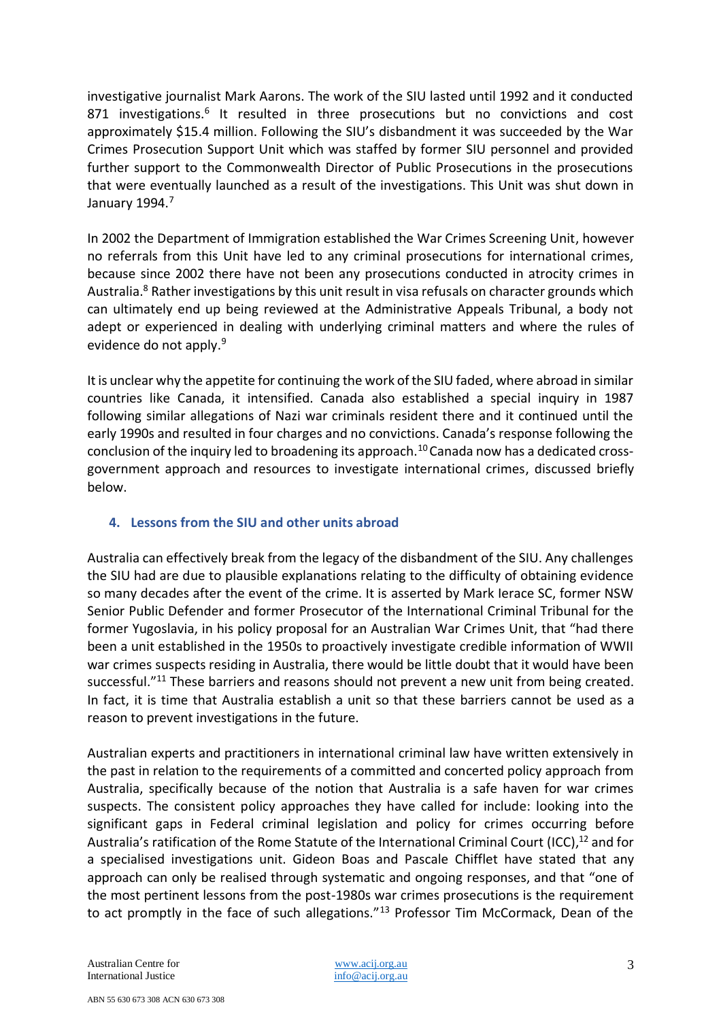investigative journalist Mark Aarons. The work of the SIU lasted until 1992 and it conducted 871 investigations.<sup>6</sup> It resulted in three prosecutions but no convictions and cost approximately \$15.4 million. Following the SIU's disbandment it was succeeded by the War Crimes Prosecution Support Unit which was staffed by former SIU personnel and provided further support to the Commonwealth Director of Public Prosecutions in the prosecutions that were eventually launched as a result of the investigations. This Unit was shut down in January 1994.<sup>7</sup>

In 2002 the Department of Immigration established the War Crimes Screening Unit, however no referrals from this Unit have led to any criminal prosecutions for international crimes, because since 2002 there have not been any prosecutions conducted in atrocity crimes in Australia.<sup>8</sup> Rather investigations by this unit result in visa refusals on character grounds which can ultimately end up being reviewed at the Administrative Appeals Tribunal, a body not adept or experienced in dealing with underlying criminal matters and where the rules of evidence do not apply.<sup>9</sup>

It is unclear why the appetite for continuing the work of the SIU faded, where abroad in similar countries like Canada, it intensified. Canada also established a special inquiry in 1987 following similar allegations of Nazi war criminals resident there and it continued until the early 1990s and resulted in four charges and no convictions. Canada's response following the conclusion of the inquiry led to broadening its approach.<sup>10</sup> Canada now has a dedicated crossgovernment approach and resources to investigate international crimes, discussed briefly below.

## **4. Lessons from the SIU and other units abroad**

Australia can effectively break from the legacy of the disbandment of the SIU. Any challenges the SIU had are due to plausible explanations relating to the difficulty of obtaining evidence so many decades after the event of the crime. It is asserted by Mark Ierace SC, former NSW Senior Public Defender and former Prosecutor of the International Criminal Tribunal for the former Yugoslavia, in his policy proposal for an Australian War Crimes Unit, that "had there been a unit established in the 1950s to proactively investigate credible information of WWII war crimes suspects residing in Australia, there would be little doubt that it would have been successful."<sup>11</sup> These barriers and reasons should not prevent a new unit from being created. In fact, it is time that Australia establish a unit so that these barriers cannot be used as a reason to prevent investigations in the future.

Australian experts and practitioners in international criminal law have written extensively in the past in relation to the requirements of a committed and concerted policy approach from Australia, specifically because of the notion that Australia is a safe haven for war crimes suspects. The consistent policy approaches they have called for include: looking into the significant gaps in Federal criminal legislation and policy for crimes occurring before Australia's ratification of the Rome Statute of the International Criminal Court (ICC),<sup>12</sup> and for a specialised investigations unit. Gideon Boas and Pascale Chifflet have stated that any approach can only be realised through systematic and ongoing responses, and that "one of the most pertinent lessons from the post-1980s war crimes prosecutions is the requirement to act promptly in the face of such allegations."<sup>13</sup> Professor Tim McCormack, Dean of the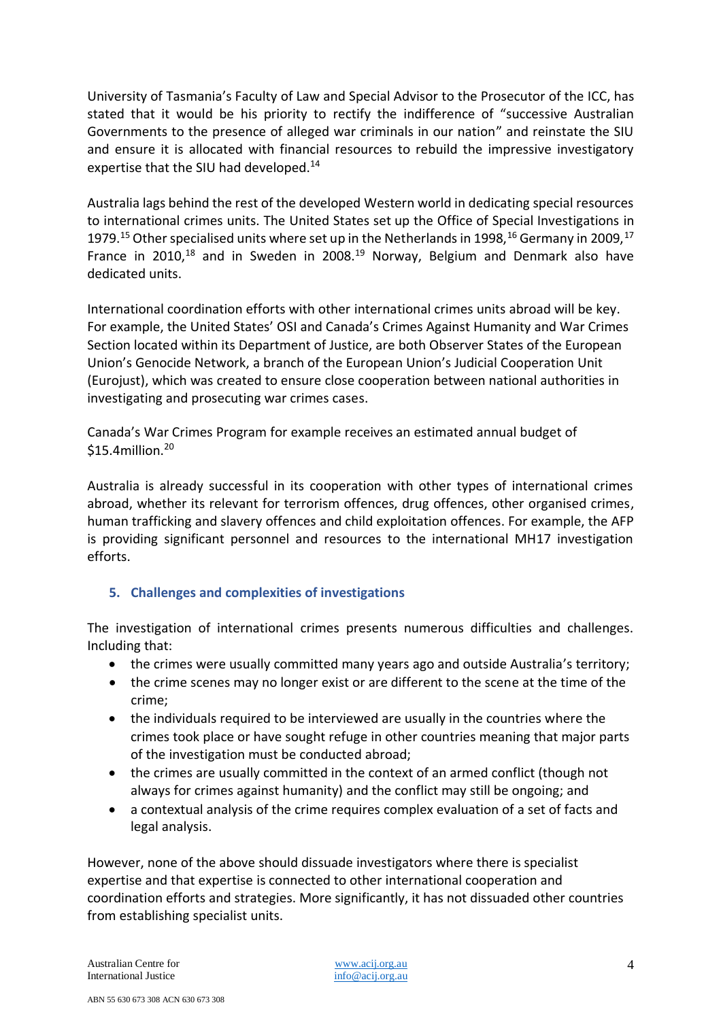University of Tasmania's Faculty of Law and Special Advisor to the Prosecutor of the ICC, has stated that it would be his priority to rectify the indifference of "successive Australian Governments to the presence of alleged war criminals in our nation" and reinstate the SIU and ensure it is allocated with financial resources to rebuild the impressive investigatory expertise that the SIU had developed.<sup>14</sup>

Australia lags behind the rest of the developed Western world in dedicating special resources to international crimes units. The United States set up the Office of Special Investigations in 1979.<sup>15</sup> Other specialised units where set up in the Netherlands in 1998.<sup>16</sup> Germany in 2009.<sup>17</sup> France in 2010,<sup>18</sup> and in Sweden in 2008.<sup>19</sup> Norway, Belgium and Denmark also have dedicated units.

International coordination efforts with other international crimes units abroad will be key. For example, the United States' OSI and Canada's Crimes Against Humanity and War Crimes Section located within its Department of Justice, are both Observer States of the European Union's Genocide Network, a branch of the European Union's Judicial Cooperation Unit (Eurojust), which was created to ensure close cooperation between national authorities in investigating and prosecuting war crimes cases.

Canada's War Crimes Program for example receives an estimated annual budget of  $$15.4$ million.<sup>20</sup>

Australia is already successful in its cooperation with other types of international crimes abroad, whether its relevant for terrorism offences, drug offences, other organised crimes, human trafficking and slavery offences and child exploitation offences. For example, the AFP is providing significant personnel and resources to the international MH17 investigation efforts.

## **5. Challenges and complexities of investigations**

The investigation of international crimes presents numerous difficulties and challenges. Including that:

- the crimes were usually committed many years ago and outside Australia's territory;
- the crime scenes may no longer exist or are different to the scene at the time of the crime;
- the individuals required to be interviewed are usually in the countries where the crimes took place or have sought refuge in other countries meaning that major parts of the investigation must be conducted abroad;
- the crimes are usually committed in the context of an armed conflict (though not always for crimes against humanity) and the conflict may still be ongoing; and
- a contextual analysis of the crime requires complex evaluation of a set of facts and legal analysis.

However, none of the above should dissuade investigators where there is specialist expertise and that expertise is connected to other international cooperation and coordination efforts and strategies. More significantly, it has not dissuaded other countries from establishing specialist units.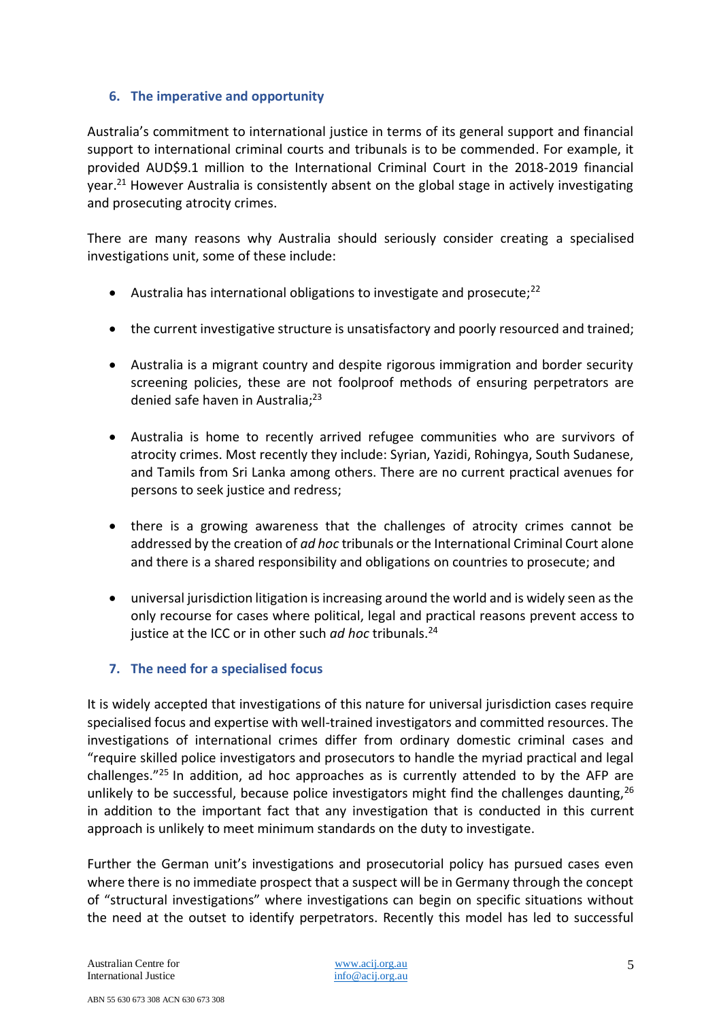## **6. The imperative and opportunity**

Australia's commitment to international justice in terms of its general support and financial support to international criminal courts and tribunals is to be commended. For example, it provided AUD\$9.1 million to the International Criminal Court in the 2018-2019 financial year.<sup>21</sup> However Australia is consistently absent on the global stage in actively investigating and prosecuting atrocity crimes.

There are many reasons why Australia should seriously consider creating a specialised investigations unit, some of these include:

- Australia has international obligations to investigate and prosecute; $^{22}$
- the current investigative structure is unsatisfactory and poorly resourced and trained;
- Australia is a migrant country and despite rigorous immigration and border security screening policies, these are not foolproof methods of ensuring perpetrators are denied safe haven in Australia;<sup>23</sup>
- Australia is home to recently arrived refugee communities who are survivors of atrocity crimes. Most recently they include: Syrian, Yazidi, Rohingya, South Sudanese, and Tamils from Sri Lanka among others. There are no current practical avenues for persons to seek justice and redress;
- there is a growing awareness that the challenges of atrocity crimes cannot be addressed by the creation of *ad hoc* tribunals or the International Criminal Court alone and there is a shared responsibility and obligations on countries to prosecute; and
- universal jurisdiction litigation is increasing around the world and is widely seen as the only recourse for cases where political, legal and practical reasons prevent access to justice at the ICC or in other such *ad hoc* tribunals.<sup>24</sup>

## **7. The need for a specialised focus**

It is widely accepted that investigations of this nature for universal jurisdiction cases require specialised focus and expertise with well-trained investigators and committed resources. The investigations of international crimes differ from ordinary domestic criminal cases and "require skilled police investigators and prosecutors to handle the myriad practical and legal challenges."<sup>25</sup> In addition, ad hoc approaches as is currently attended to by the AFP are unlikely to be successful, because police investigators might find the challenges daunting,  $26$ in addition to the important fact that any investigation that is conducted in this current approach is unlikely to meet minimum standards on the duty to investigate.

Further the German unit's investigations and prosecutorial policy has pursued cases even where there is no immediate prospect that a suspect will be in Germany through the concept of "structural investigations" where investigations can begin on specific situations without the need at the outset to identify perpetrators. Recently this model has led to successful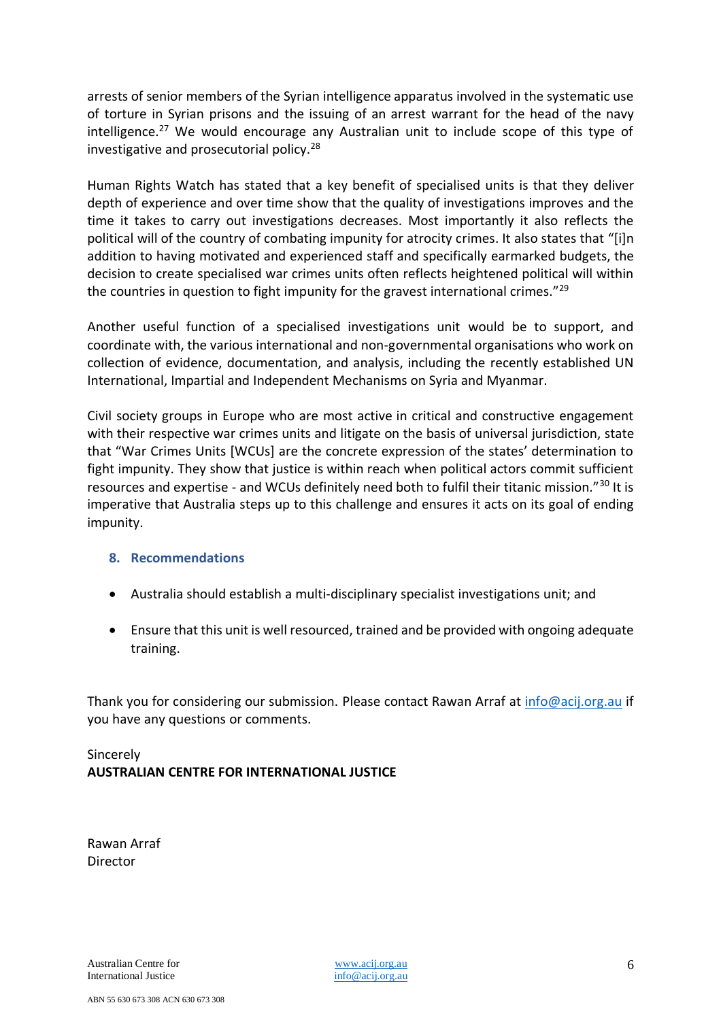arrests of senior members of the Syrian intelligence apparatus involved in the systematic use of torture in Syrian prisons and the issuing of an arrest warrant for the head of the navy intelligence.<sup>27</sup> We would encourage any Australian unit to include scope of this type of investigative and prosecutorial policy.<sup>28</sup>

Human Rights Watch has stated that a key benefit of specialised units is that they deliver depth of experience and over time show that the quality of investigations improves and the time it takes to carry out investigations decreases. Most importantly it also reflects the political will of the country of combating impunity for atrocity crimes. It also states that "[i]n addition to having motivated and experienced staff and specifically earmarked budgets, the decision to create specialised war crimes units often reflects heightened political will within the countries in question to fight impunity for the gravest international crimes."<sup>29</sup>

Another useful function of a specialised investigations unit would be to support, and coordinate with, the various international and non-governmental organisations who work on collection of evidence, documentation, and analysis, including the recently established UN International, Impartial and Independent Mechanisms on Syria and Myanmar.

Civil society groups in Europe who are most active in critical and constructive engagement with their respective war crimes units and litigate on the basis of universal jurisdiction, state that "War Crimes Units [WCUs] are the concrete expression of the states' determination to fight impunity. They show that justice is within reach when political actors commit sufficient resources and expertise - and WCUs definitely need both to fulfil their titanic mission."<sup>30</sup> It is imperative that Australia steps up to this challenge and ensures it acts on its goal of ending impunity.

#### **8. Recommendations**

- Australia should establish a multi-disciplinary specialist investigations unit; and
- Ensure that this unit is well resourced, trained and be provided with ongoing adequate training.

Thank you for considering our submission. Please contact Rawan Arraf at [info@acij.org.au](mailto:info@acij.org.au) if you have any questions or comments.

# Sincerely **AUSTRALIAN CENTRE FOR INTERNATIONAL JUSTICE**

Rawan Arraf Director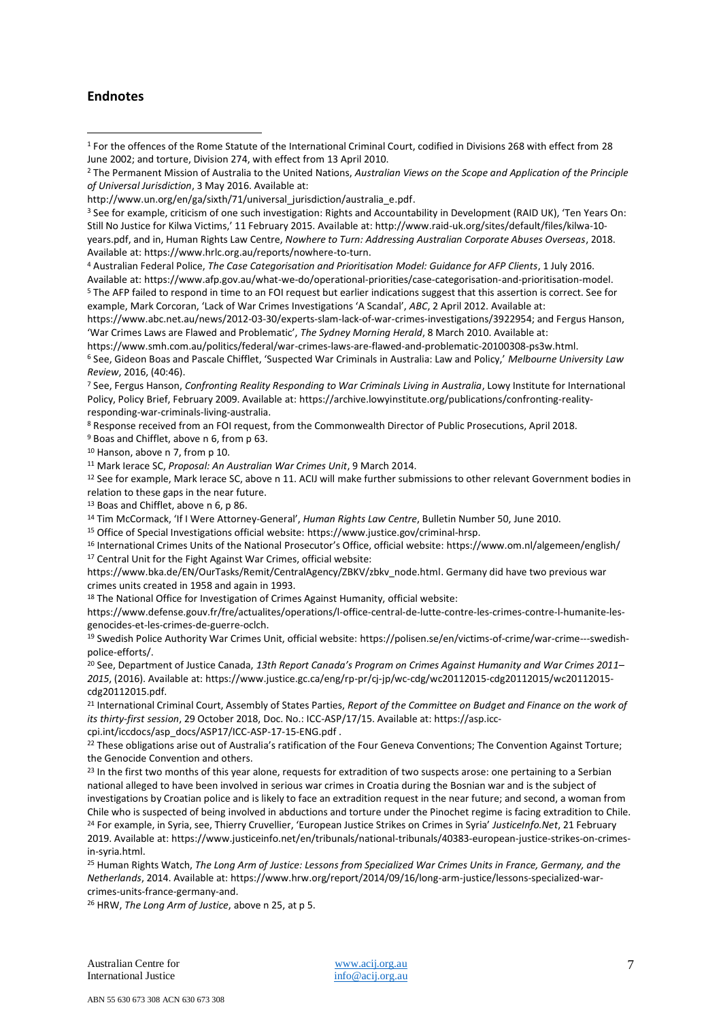#### **Endnotes**

 $\overline{a}$ 

<sup>3</sup> See for example, criticism of one such investigation: Rights and Accountability in Development (RAID UK), 'Ten Years On: Still No Justice for Kilwa Victims,' 11 February 2015. Available at[: http://www.raid-uk.org/sites/default/files/kilwa-10](http://www.raid-uk.org/sites/default/files/kilwa-10-years.pdf) [years.pdf,](http://www.raid-uk.org/sites/default/files/kilwa-10-years.pdf) and in, Human Rights Law Centre, *Nowhere to Turn: Addressing Australian Corporate Abuses Overseas*, 2018. Available at: [https://www.hrlc.org.au/reports/nowhere-to-turn.](https://www.hrlc.org.au/reports/nowhere-to-turn)

<sup>4</sup> Australian Federal Police, *The Case Categorisation and Prioritisation Model: Guidance for AFP Clients*, 1 July 2016.

Available at: [https://www.afp.gov.au/what-we-do/operational-priorities/case-categorisation-and-prioritisation-model.](https://www.afp.gov.au/what-we-do/operational-priorities/case-categorisation-and-prioritisation-model) <sup>5</sup> The AFP failed to respond in time to an FOI request but earlier indications suggest that this assertion is correct. See for example, Mark Corcoran, 'Lack of War Crimes Investigations 'A Scandal', *ABC*, 2 April 2012. Available at:

[https://www.abc.net.au/news/2012-03-30/experts-slam-lack-of-war-crimes-investigations/3922954;](https://www.abc.net.au/news/2012-03-30/experts-slam-lack-of-war-crimes-investigations/3922954) and Fergus Hanson, 'War Crimes Laws are Flawed and Problematic', *The Sydney Morning Herald*, 8 March 2010. Available at:

[https://www.smh.com.au/politics/federal/war-crimes-laws-are-flawed-and-problematic-20100308-ps3w.html.](https://www.smh.com.au/politics/federal/war-crimes-laws-are-flawed-and-problematic-20100308-ps3w.html) 

<sup>6</sup> See, Gideon Boas and Pascale Chifflet, 'Suspected War Criminals in Australia: Law and Policy,' *Melbourne University Law Review*, 2016, (40:46).

<sup>7</sup> See, Fergus Hanson, *Confronting Reality Responding to War Criminals Living in Australia*, Lowy Institute for International Policy, Policy Brief, February 2009. Available at: [https://archive.lowyinstitute.org/publications/confronting-reality](https://archive.lowyinstitute.org/publications/confronting-reality-responding-war-criminals-living-australia)[responding-war-criminals-living-australia.](https://archive.lowyinstitute.org/publications/confronting-reality-responding-war-criminals-living-australia)

<sup>8</sup> Response received from an FOI request, from the Commonwealth Director of Public Prosecutions, April 2018.

<sup>9</sup> Boas and Chifflet, above n 6, from p 63.

<sup>10</sup> Hanson, above n 7, from p 10.

<sup>11</sup> Mark Ierace SC, *Proposal: An Australian War Crimes Unit*, 9 March 2014.

<sup>12</sup> See for example, Mark Ierace SC, above n 11. ACIJ will make further submissions to other relevant Government bodies in relation to these gaps in the near future.

<sup>13</sup> Boas and Chifflet, above n 6, p 86.

<sup>14</sup> Tim McCormack, 'If I Were Attorney-General', *Human Rights Law Centre*, Bulletin Number 50, June 2010.

<sup>15</sup> Office of Special Investigations official website[: https://www.justice.gov/criminal-hrsp.](https://www.justice.gov/criminal-hrsp)

<sup>16</sup> International Crimes Units of the National Prosecutor's Office, official website: <https://www.om.nl/algemeen/english/> <sup>17</sup> Central Unit for the Fight Against War Crimes, official website:

[https://www.bka.de/EN/OurTasks/Remit/CentralAgency/ZBKV/zbkv\\_node.html.](https://www.bka.de/EN/OurTasks/Remit/CentralAgency/ZBKV/zbkv_node.html) Germany did have two previous war crimes units created in 1958 and again in 1993.

<sup>18</sup> The National Office for Investigation of Crimes Against Humanity, official website:

[https://www.defense.gouv.fr/fre/actualites/operations/l-office-central-de-lutte-contre-les-crimes-contre-l-humanite-les](https://www.defense.gouv.fr/fre/actualites/operations/l-office-central-de-lutte-contre-les-crimes-contre-l-humanite-les-genocides-et-les-crimes-de-guerre-oclch)[genocides-et-les-crimes-de-guerre-oclch.](https://www.defense.gouv.fr/fre/actualites/operations/l-office-central-de-lutte-contre-les-crimes-contre-l-humanite-les-genocides-et-les-crimes-de-guerre-oclch)

<sup>19</sup> Swedish Police Authority War Crimes Unit, official website: [https://polisen.se/en/victims-of-crime/war-crime---swedish](https://polisen.se/en/victims-of-crime/war-crime---swedish-police-efforts/)[police-efforts/.](https://polisen.se/en/victims-of-crime/war-crime---swedish-police-efforts/) 

<sup>20</sup> See, Department of Justice Canada, *13th Report Canada's Program on Crimes Against Humanity and War Crimes 2011– 2015*, (2016). Available at[: https://www.justice.gc.ca/eng/rp-pr/cj-jp/wc-cdg/wc20112015-cdg20112015/wc20112015](https://www.justice.gc.ca/eng/rp-pr/cj-jp/wc-cdg/wc20112015-cdg20112015/wc20112015-cdg20112015.pdf) [cdg20112015.pdf.](https://www.justice.gc.ca/eng/rp-pr/cj-jp/wc-cdg/wc20112015-cdg20112015/wc20112015-cdg20112015.pdf)

<sup>21</sup> International Criminal Court, Assembly of States Parties, *Report of the Committee on Budget and Finance on the work of its thirty-first session*, 29 October 2018, Doc. No.: ICC-ASP/17/15. Available at[: https://asp.icc](https://asp.icc-cpi.int/iccdocs/asp_docs/ASP17/ICC-ASP-17-15-ENG.pdf)[cpi.int/iccdocs/asp\\_docs/ASP17/ICC-ASP-17-15-ENG.pdf](https://asp.icc-cpi.int/iccdocs/asp_docs/ASP17/ICC-ASP-17-15-ENG.pdf) .

<sup>22</sup> These obligations arise out of Australia's ratification of the Four Geneva Conventions; The Convention Against Torture; the Genocide Convention and others.

<sup>23</sup> In the first two months of this year alone, requests for extradition of two suspects arose: one pertaining to a Serbian national alleged to have been involved in serious war crimes in Croatia during the Bosnian war and is the subject of investigations by Croatian police and is likely to face an extradition request in the near future; and second, a woman from Chile who is suspected of being involved in abductions and torture under the Pinochet regime is facing extradition to Chile.

<sup>24</sup> For example, in Syria, see, Thierry Cruvellier, 'European Justice Strikes on Crimes in Syria' *JusticeInfo.Net*, 21 February 2019. Available at[: https://www.justiceinfo.net/en/tribunals/national-tribunals/40383-european-justice-strikes-on-crimes](https://www.justiceinfo.net/en/tribunals/national-tribunals/40383-european-justice-strikes-on-crimes-in-syria.html)[in-syria.html.](https://www.justiceinfo.net/en/tribunals/national-tribunals/40383-european-justice-strikes-on-crimes-in-syria.html)

<sup>25</sup> Human Rights Watch, *The Long Arm of Justice: Lessons from Specialized War Crimes Units in France, Germany, and the Netherlands*, 2014. Available at[: https://www.hrw.org/report/2014/09/16/long-arm-justice/lessons-specialized-war](https://www.hrw.org/report/2014/09/16/long-arm-justice/lessons-specialized-war-crimes-units-france-germany-and)[crimes-units-france-germany-and.](https://www.hrw.org/report/2014/09/16/long-arm-justice/lessons-specialized-war-crimes-units-france-germany-and)

<sup>26</sup> HRW, *The Long Arm of Justice*, above n 25, at p 5.

<sup>1</sup> For the offences of the Rome Statute of the International Criminal Court, codified in Divisions 268 with effect from 28 June 2002; and torture, Division 274, with effect from 13 April 2010.

<sup>2</sup> The Permanent Mission of Australia to the United Nations, *Australian Views on the Scope and Application of the Principle of Universal Jurisdiction*, 3 May 2016. Available at:

[http://www.un.org/en/ga/sixth/71/universal\\_jurisdiction/australia\\_e.pdf.](http://www.un.org/en/ga/sixth/71/universal_jurisdiction/australia_e.pdf)